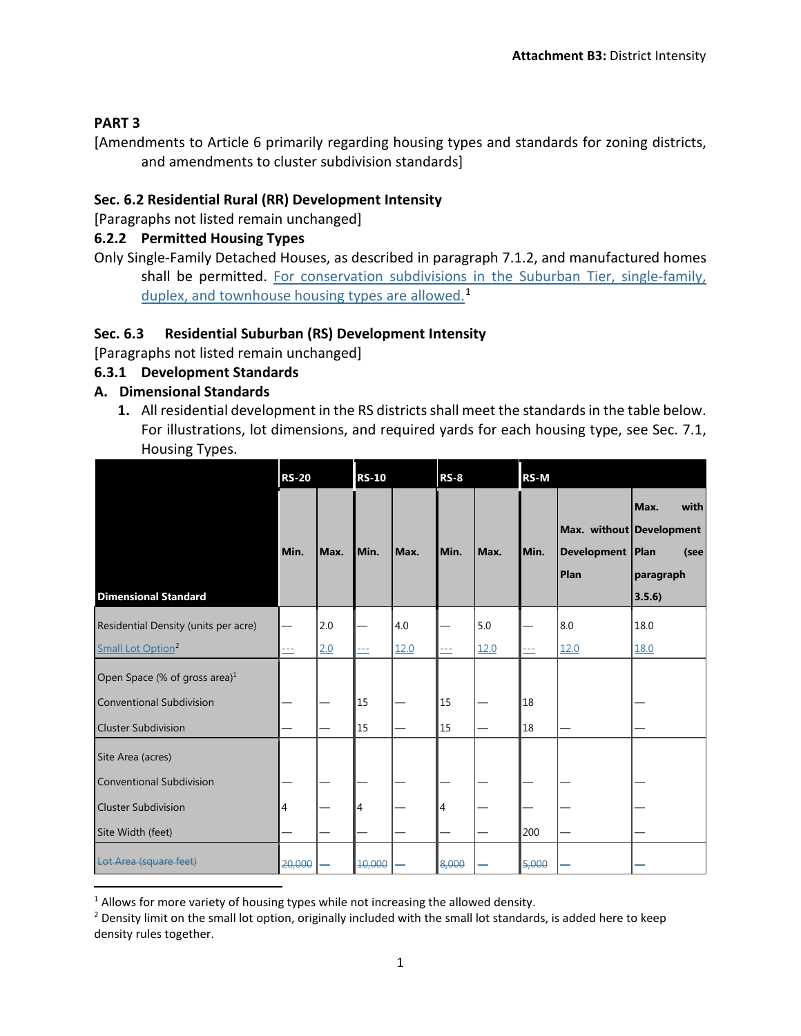#### **PART 3**

[Amendments to Article 6 primarily regarding housing types and standards for zoning districts, and amendments to cluster subdivision standards]

## **Sec. 6.2 Residential Rural (RR) Development Intensity**

[Paragraphs not listed remain unchanged]

#### **6.2.2 Permitted Housing Types**

Only Single-Family Detached Houses, as described in paragraph 7.1.2, and manufactured homes shall be permitted. For conservation subdivisions in the Suburban Tier, single-family, duplex, and townhouse housing types are allowed.<sup>[1](#page-0-0)</sup>

## **Sec. 6.3 Residential Suburban (RS) Development Intensity**

[Paragraphs not listed remain unchanged]

#### **6.3.1 Development Standards**

## **A. Dimensional Standards**

**1.** All residential development in the RS districts shall meet the standards in the table below. For illustrations, lot dimensions, and required yards for each housing type, see Sec. 7.1, Housing Types.

|                                      | <b>RS-20</b> |      | <b>RS-10</b>  |      | <b>RS-8</b> |      | <b>RS-M</b> |                                                        |                                             |
|--------------------------------------|--------------|------|---------------|------|-------------|------|-------------|--------------------------------------------------------|---------------------------------------------|
| <b>Dimensional Standard</b>          | Min.         | Max. | <b>I</b> Min. | Max. | Min.        | Max. | Min.        | Max. without Development<br>Development   Plan<br>Plan | Max.<br>with<br>(see<br>paragraph<br>3.5.6) |
| Residential Density (units per acre) |              | 2.0  |               | 4.0  |             | 5.0  |             | 8.0                                                    | 18.0                                        |
| Small Lot Option <sup>2</sup>        | ---          | 2.0  | ---           | 12.0 | ---         | 12.0 | ---         | 12.0                                                   | 18.0                                        |
| Open Space (% of gross area) $1$     |              |      |               |      |             |      |             |                                                        |                                             |
| <b>Conventional Subdivision</b>      |              |      | 15            |      | 15          |      | 18          |                                                        |                                             |
| <b>Cluster Subdivision</b>           |              |      | 15            |      | 15          |      | 18          |                                                        |                                             |
| Site Area (acres)                    |              |      |               |      |             |      |             |                                                        |                                             |
| Conventional Subdivision             |              |      |               |      |             |      |             |                                                        |                                             |
| <b>Cluster Subdivision</b>           | 4            |      | 4             |      | 4           |      |             |                                                        |                                             |
| Site Width (feet)                    |              |      |               |      |             |      | 200         |                                                        |                                             |
| Lot Area (square feet)               | 20,000       |      | 10,000        |      | 8,000       |      | 5,000       |                                                        |                                             |

<span id="page-0-0"></span> $1$  Allows for more variety of housing types while not increasing the allowed density.

<span id="page-0-1"></span><sup>&</sup>lt;sup>2</sup> Density limit on the small lot option, originally included with the small lot standards, is added here to keep density rules together.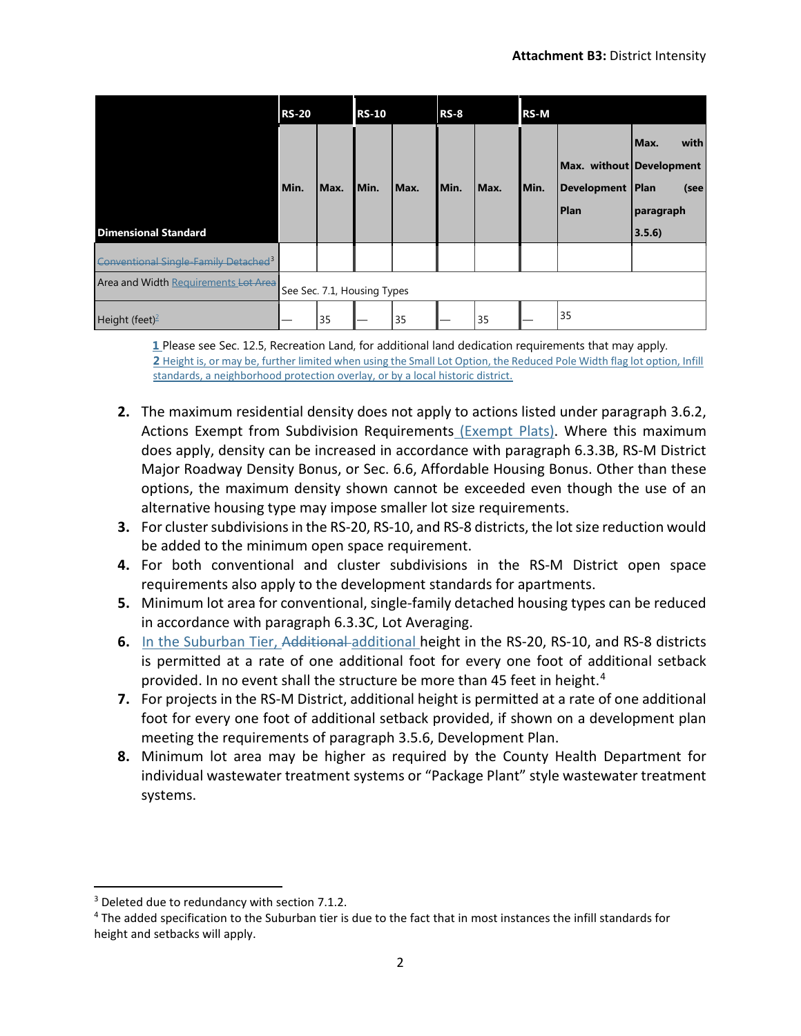|                                                  | <b>RS-20</b>                |      | <b>RS-10</b> |      | <b>RS-8</b> |      | <b>RS-M</b> |                                                               |                                             |
|--------------------------------------------------|-----------------------------|------|--------------|------|-------------|------|-------------|---------------------------------------------------------------|---------------------------------------------|
| <b>Dimensional Standard</b>                      | Min.                        | Max. | Min.         | Max. | Min.        | Max. | Min.        | Max. without Development<br>Development   Plan<br><b>Plan</b> | with<br>Max.<br>(see<br>paragraph<br>3.5.6) |
| Conventional Single-Family Detached <sup>3</sup> |                             |      |              |      |             |      |             |                                                               |                                             |
| Area and Width Requirements Lot Area             | See Sec. 7.1, Housing Types |      |              |      |             |      |             |                                                               |                                             |
| Height (feet) <sup>2</sup>                       |                             | 35   |              | 35   |             | 35   |             | 35                                                            |                                             |

**1** Please see Sec. 12.5, Recreation Land, for additional land dedication requirements that may apply. **2** Height is, or may be, further limited when using the Small Lot Option, the Reduced Pole Width flag lot option, Infill standards, a neighborhood protection overlay, or by a local historic district.

- **2.** The maximum residential density does not apply to actions listed under paragraph 3.6.2, Actions Exempt from Subdivision Requirements (Exempt Plats). Where this maximum does apply, density can be increased in accordance with paragraph 6.3.3B, RS-M District Major Roadway Density Bonus, or Sec. 6.6, Affordable Housing Bonus. Other than these options, the maximum density shown cannot be exceeded even though the use of an alternative housing type may impose smaller lot size requirements.
- **3.** For cluster subdivisions in the RS-20, RS-10, and RS-8 districts, the lot size reduction would be added to the minimum open space requirement.
- **4.** For both conventional and cluster subdivisions in the RS-M District open space requirements also apply to the development standards for apartments.
- **5.** Minimum lot area for conventional, single-family detached housing types can be reduced in accordance with paragraph 6.3.3C, Lot Averaging.
- **6.** In the Suburban Tier, Additional additional height in the RS-20, RS-10, and RS-8 districts is permitted at a rate of one additional foot for every one foot of additional setback provided. In no event shall the structure be more than [4](#page-1-1)5 feet in height.<sup>4</sup>
- **7.** For projects in the RS-M District, additional height is permitted at a rate of one additional foot for every one foot of additional setback provided, if shown on a development plan meeting the requirements of paragraph 3.5.6, Development Plan.
- **8.** Minimum lot area may be higher as required by the County Health Department for individual wastewater treatment systems or "Package Plant" style wastewater treatment systems.

<span id="page-1-0"></span><sup>&</sup>lt;sup>3</sup> Deleted due to redundancy with section 7.1.2.

<span id="page-1-1"></span><sup>4</sup> The added specification to the Suburban tier is due to the fact that in most instances the infill standards for height and setbacks will apply.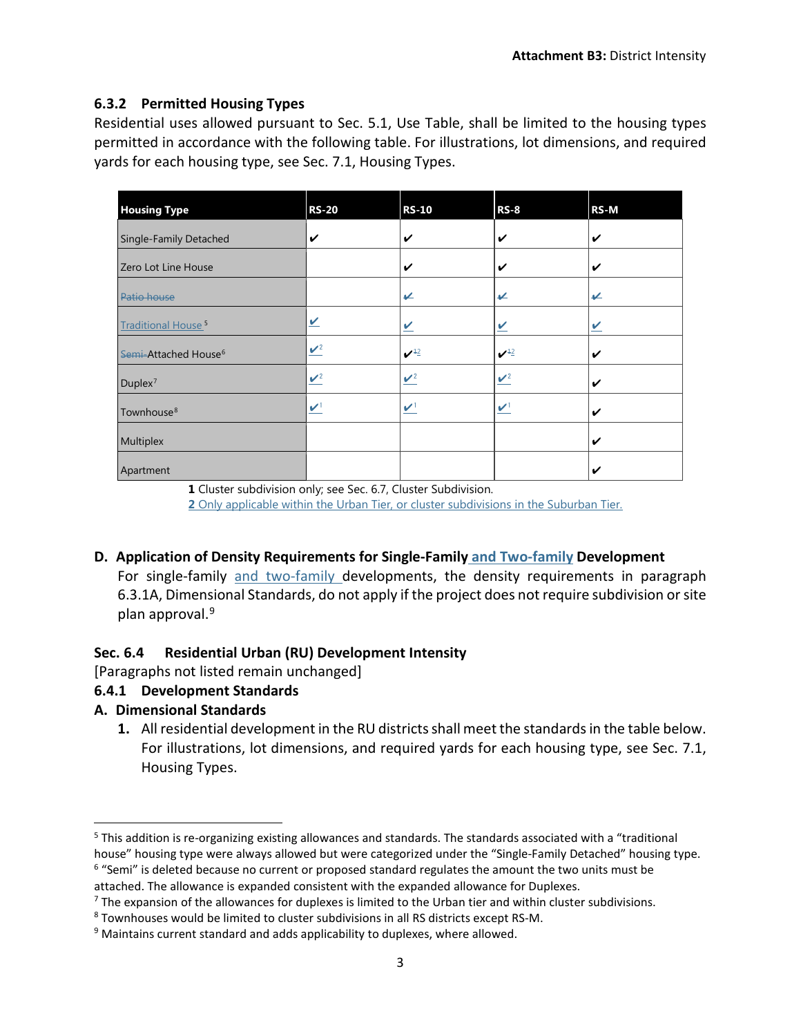#### **6.3.2 Permitted Housing Types**

Residential uses allowed pursuant to Sec. 5.1, Use Table, shall be limited to the housing types permitted in accordance with the following table. For illustrations, lot dimensions, and required yards for each housing type, see Sec. 7.1, Housing Types.

| <b>Housing Type</b>                  | <b>RS-20</b>              | <b>RS-10</b>                                | <b>RS-8</b>                                 | RS-M |
|--------------------------------------|---------------------------|---------------------------------------------|---------------------------------------------|------|
| Single-Family Detached               | V                         | V                                           | V                                           | V    |
| Zero Lot Line House                  |                           | $\checkmark$                                | ✓                                           | V    |
| Patio house                          |                           | V                                           | V                                           | V    |
| <b>Traditional House<sup>5</sup></b> | V                         | $\vee$                                      | V                                           | V    |
| Semi-Attached House <sup>6</sup>     | $\mathbf{v}^2$            | $\boldsymbol{v}^{\scriptscriptstyle \pm 2}$ | $\boldsymbol{v}^{\scriptscriptstyle \pm 2}$ | V    |
| $Duplex^7$                           | $\mathbf{V}^2$            | $\mathbf{v}^2$                              | $\mathbf{v}^2$                              | V    |
| Townhouse <sup>8</sup>               | $\mathbf{v}^{\mathsf{t}}$ | $\boldsymbol{v}$                            | $\boldsymbol{v}$                            | V    |
| Multiplex                            |                           |                                             |                                             | V    |
| Apartment                            |                           |                                             |                                             | V    |

**1** Cluster subdivision only; see Sec. 6.7, Cluster Subdivision. **2** Only applicable within the Urban Tier, or cluster subdivisions in the Suburban Tier.

# **D. Application of Density Requirements for Single-Family and Two-family Development**

For single-family and two-family developments, the density requirements in paragraph 6.3.1A, Dimensional Standards, do not apply if the project does not require subdivision or site plan approval.<sup>[9](#page-2-4)</sup>

#### **Sec. 6.4 Residential Urban (RU) Development Intensity**

[Paragraphs not listed remain unchanged]

# **6.4.1 Development Standards**

#### **A. Dimensional Standards**

**1.** All residential development in the RU districts shall meet the standards in the table below. For illustrations, lot dimensions, and required yards for each housing type, see Sec. 7.1, Housing Types.

<span id="page-2-0"></span> <sup>5</sup> This addition is re-organizing existing allowances and standards. The standards associated with a "traditional house" housing type were always allowed but were categorized under the "Single-Family Detached" housing type.<br><sup>6</sup> "Semi" is deleted because no current or proposed standard regulates the amount the two units must be

<span id="page-2-1"></span>

attached. The allowance is expanded consistent with the expanded allowance for Duplexes.<br><sup>7</sup> The expansion of the allowances for duplexes is limited to the Urban tier and within cluster subdivisions.

<span id="page-2-3"></span><span id="page-2-2"></span><sup>8</sup> Townhouses would be limited to cluster subdivisions in all RS districts except RS-M.

<span id="page-2-4"></span> $9$  Maintains current standard and adds applicability to duplexes, where allowed.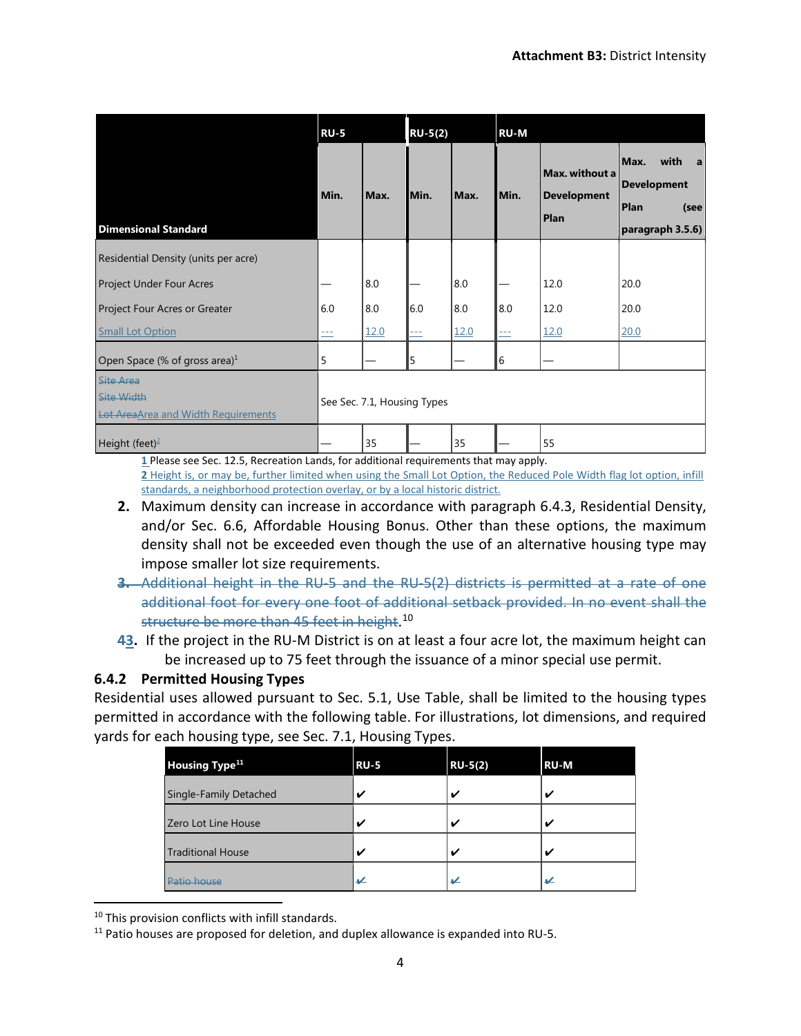|                                                                                     | <b>RU-5</b> |                             | $RU-5(2)$ |      | <b>RU-M</b> |                                              |                                                                             |
|-------------------------------------------------------------------------------------|-------------|-----------------------------|-----------|------|-------------|----------------------------------------------|-----------------------------------------------------------------------------|
| <b>Dimensional Standard</b>                                                         | Min.        | Max.                        | Min.      | Max. | Min.        | Max. without a<br><b>Development</b><br>Plan | Max.<br>with<br>a<br><b>Development</b><br>Plan<br>(see<br>paragraph 3.5.6) |
| Residential Density (units per acre)                                                |             |                             |           |      |             |                                              |                                                                             |
| <b>Project Under Four Acres</b>                                                     |             | 8.0                         |           | 8.0  |             | 12.0                                         | 20.0                                                                        |
| Project Four Acres or Greater                                                       | 6.0         | 8.0                         | 6.0       | 8.0  | 8.0         | 12.0                                         | 20.0                                                                        |
| <b>Small Lot Option</b>                                                             | ᆖ           | 12.0                        | $-$       | 12.0 | $\equiv$    | 12.0                                         | 20.0                                                                        |
| Open Space (% of gross area) $1$                                                    | 5           |                             | 5         |      | 6           |                                              |                                                                             |
| <b>Site Area</b><br><b>Site Width</b><br><b>Lot AreaArea and Width Requirements</b> |             | See Sec. 7.1, Housing Types |           |      |             |                                              |                                                                             |
| Height (feet) <sup>2</sup>                                                          |             | 35                          |           | 35   |             | 55                                           |                                                                             |

**1** Please see Sec. 12.5, Recreation Lands, for additional requirements that may apply. **2** Height is, or may be, further limited when using the Small Lot Option, the Reduced Pole Width flag lot option, infill standards, a neighborhood protection overlay, or by a local historic district.

- **2.** Maximum density can increase in accordance with paragraph 6.4.3, Residential Density, and/or Sec. 6.6, Affordable Housing Bonus. Other than these options, the maximum density shall not be exceeded even though the use of an alternative housing type may impose smaller lot size requirements.
- **3.** Additional height in the RU-5 and the RU-5(2) districts is permitted at a rate of one additional foot for every one foot of additional setback provided. In no event shall the structure be more than 45 feet in height. [10](#page-3-0)
- **43.** If the project in the RU-M District is on at least a four acre lot, the maximum height can be increased up to 75 feet through the issuance of a minor special use permit.

# **6.4.2 Permitted Housing Types**

Residential uses allowed pursuant to Sec. 5.1, Use Table, shall be limited to the housing types permitted in accordance with the following table. For illustrations, lot dimensions, and required yards for each housing type, see Sec. 7.1, Housing Types.

| <b>Housing Type<sup>11</sup></b> | <b>RU-5</b> | $RU-5(2)$ | <b>RU-M</b>              |
|----------------------------------|-------------|-----------|--------------------------|
| <b>Single-Family Detached</b>    | ✔           | ✓         | $\overline{\phantom{a}}$ |
| Zero Lot Line House              |             | ✔         | ω                        |
| <b>Traditional House</b>         |             | ✓         | $\overline{a}$           |
|                                  | ↵           | ✔         | ✔                        |

<span id="page-3-0"></span><sup>10</sup> This provision conflicts with infill standards.

<span id="page-3-1"></span> $11$  Patio houses are proposed for deletion, and duplex allowance is expanded into RU-5.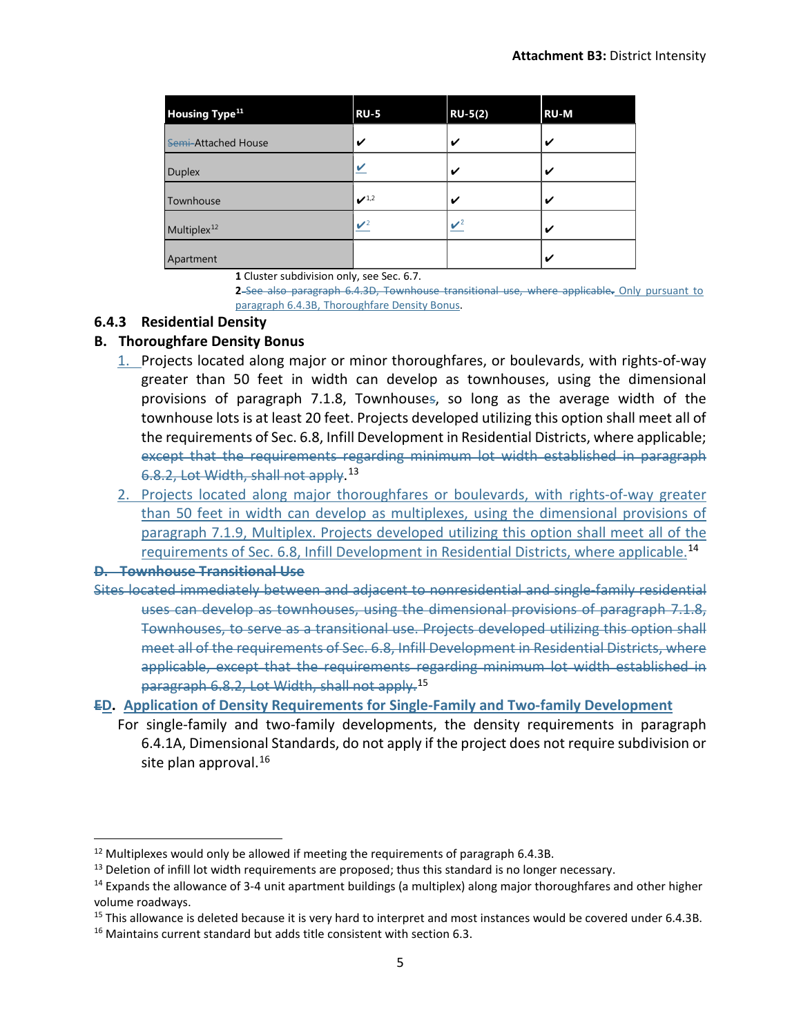| <b>Housing Type<sup>11</sup></b> | <b>RU-5</b>              | <b>RU-5(2)</b>  | <b>RU-M</b> |
|----------------------------------|--------------------------|-----------------|-------------|
| Semi-Attached House              | V                        | V               | ✔           |
| <b>Duplex</b>                    |                          | V               | V           |
| Townhouse                        | $\boldsymbol{\nu}^{1,2}$ | ✓               | ✔           |
| Multiplex <sup>12</sup>          | $\mathbf{v}^2$           | $\mathcal{V}^2$ | ✔           |
| Apartment                        |                          |                 | ✔           |

**1** Cluster subdivision only, see Sec. 6.7.

**2** See also paragraph 6.4.3D, Townhouse transitional use, where applicable**.** Only pursuant to paragraph 6.4.3B, Thoroughfare Density Bonus.

#### **6.4.3 Residential Density**

#### **B. Thoroughfare Density Bonus**

- 1. Projects located along major or minor thoroughfares, or boulevards, with rights-of-way greater than 50 feet in width can develop as townhouses, using the dimensional provisions of paragraph 7.1.8, Townhouses, so long as the average width of the townhouse lots is at least 20 feet. Projects developed utilizing this option shall meet all of the requirements of Sec. 6.8, Infill Development in Residential Districts, where applicable; except that the requirements regarding minimum lot width established in paragraph 6.8.2, Lot Width, shall not apply. [13](#page-4-1)
- 2. Projects located along major thoroughfares or boulevards, with rights-of-way greater than 50 feet in width can develop as multiplexes, using the dimensional provisions of paragraph 7.1.9, Multiplex. Projects developed utilizing this option shall meet all of the requirements of Sec. 6.8, Infill Development in Residential Districts, where applicable.[14](#page-4-2)

#### **D. Townhouse Transitional Use**

Sites located immediately between and adjacent to nonresidential and single-family residential uses can develop as townhouses, using the dimensional provisions of paragraph 7.1.8, Townhouses, to serve as a transitional use. Projects developed utilizing this option shall meet all of the requirements of Sec. 6.8, Infill Development in Residential Districts, where applicable, except that the requirements regarding minimum lot width established in paragraph 6.8.2, Lot Width, shall not apply.[15](#page-4-3)

#### **ED. Application of Density Requirements for Single-Family and Two-family Development**

For single-family and two-family developments, the density requirements in paragraph 6.4.1A, Dimensional Standards, do not apply if the project does not require subdivision or site plan approval. [16](#page-4-4)

<span id="page-4-0"></span> $12$  Multiplexes would only be allowed if meeting the requirements of paragraph 6.4.3B.

<span id="page-4-1"></span><sup>&</sup>lt;sup>13</sup> Deletion of infill lot width requirements are proposed; thus this standard is no longer necessary.

<span id="page-4-2"></span><sup>&</sup>lt;sup>14</sup> Expands the allowance of 3-4 unit apartment buildings (a multiplex) along major thoroughfares and other higher volume roadways.

<span id="page-4-3"></span> $15$  This allowance is deleted because it is very hard to interpret and most instances would be covered under 6.4.3B.

<span id="page-4-4"></span><sup>&</sup>lt;sup>16</sup> Maintains current standard but adds title consistent with section 6.3.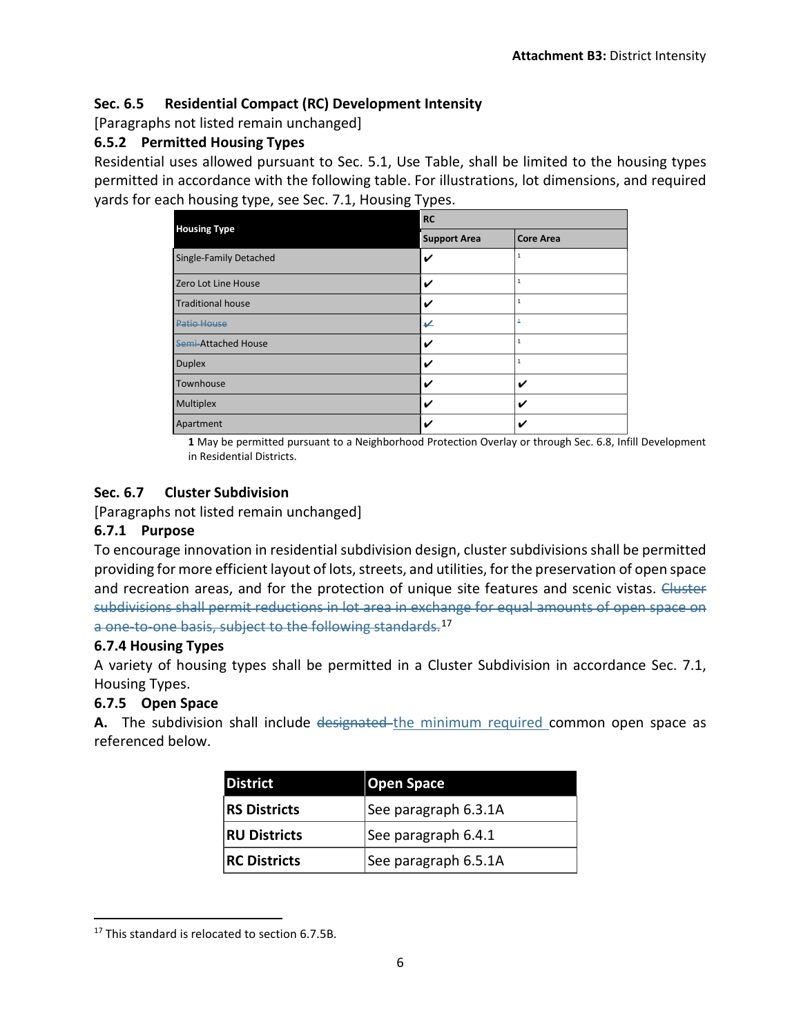# **Sec. 6.5 Residential Compact (RC) Development Intensity**

[Paragraphs not listed remain unchanged]

#### **6.5.2 Permitted Housing Types**

Residential uses allowed pursuant to Sec. 5.1, Use Table, shall be limited to the housing types permitted in accordance with the following table. For illustrations, lot dimensions, and required yards for each housing type, see Sec. 7.1, Housing Types.

|                          | <b>RC</b>           |                  |  |  |  |
|--------------------------|---------------------|------------------|--|--|--|
| <b>Housing Type</b>      | <b>Support Area</b> | <b>Core Area</b> |  |  |  |
| Single-Family Detached   | ✓                   | 1                |  |  |  |
| Zero Lot Line House      | V                   | 1                |  |  |  |
| <b>Traditional house</b> | V                   | $\mathbf{1}$     |  |  |  |
| <b>Patio House</b>       | V                   | $\overline{1}$   |  |  |  |
| Semi-Attached House      | V                   | 1                |  |  |  |
| <b>Duplex</b>            | V                   | $\mathbf{1}$     |  |  |  |
| Townhouse                | ✓                   | V                |  |  |  |
| Multiplex                | V                   | ✓                |  |  |  |
| Apartment                | V                   | V                |  |  |  |

**1** May be permitted pursuant to a Neighborhood Protection Overlay or through Sec. 6.8, Infill Development in Residential Districts.

#### **Sec. 6.7 Cluster Subdivision**

[Paragraphs not listed remain unchanged]

#### **6.7.1 Purpose**

To encourage innovation in residential subdivision design, cluster subdivisions shall be permitted providing for more efficient layout of lots, streets, and utilities, for the preservation of open space and recreation areas, and for the protection of unique site features and scenic vistas. Cluster subdivisions shall permit reductions in lot area in exchange for equal amounts of open space on a one-to-one basis, subject to the following standards.<sup>[17](#page-5-0)</sup>

#### **6.7.4 Housing Types**

A variety of housing types shall be permitted in a Cluster Subdivision in accordance Sec. 7.1, Housing Types.

#### **6.7.5 Open Space**

**A.** The subdivision shall include designated the minimum required common open space as referenced below.

| <b>District</b>     | <b>Open Space</b>    |  |  |
|---------------------|----------------------|--|--|
| <b>RS Districts</b> | See paragraph 6.3.1A |  |  |
| <b>RU Districts</b> | See paragraph 6.4.1  |  |  |
| <b>RC Districts</b> | See paragraph 6.5.1A |  |  |

<span id="page-5-0"></span> $17$  This standard is relocated to section 6.7.5B.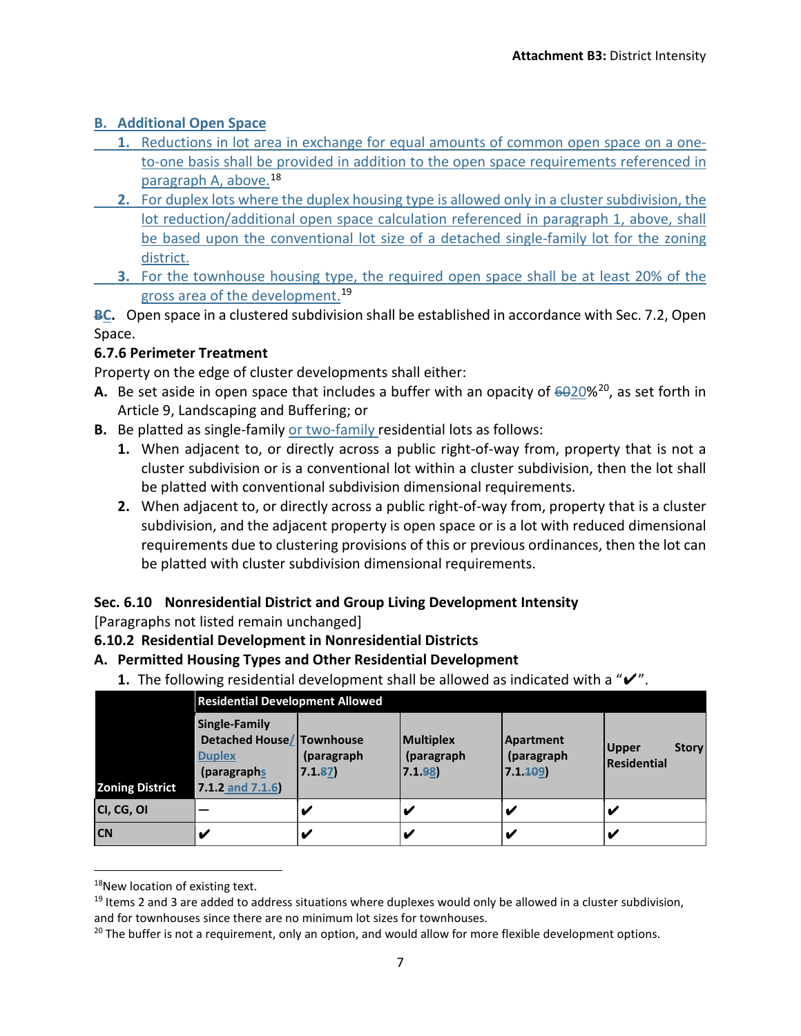## **B. Additional Open Space**

- **1.** Reductions in lot area in exchange for equal amounts of common open space on a oneto-one basis shall be provided in addition to the open space requirements referenced in paragraph A, above. [18](#page-6-0)
- **2.** For duplex lots where the duplex housing type is allowed only in a cluster subdivision, the lot reduction/additional open space calculation referenced in paragraph 1, above, shall be based upon the conventional lot size of a detached single-family lot for the zoning district.
- **3.** For the townhouse housing type, the required open space shall be at least 20% of the gross area of the development.<sup>[19](#page-6-1)</sup>

**BC.** Open space in a clustered subdivision shall be established in accordance with Sec. 7.2, Open Space.

## **6.7.6 Perimeter Treatment**

Property on the edge of cluster developments shall either:

- **A.** Be set aside in open space that includes a buffer with an opacity of  $6020\%^{20}$ , as set forth in Article 9, Landscaping and Buffering; or
- **B.** Be platted as single-family or two-family residential lots as follows:
	- **1.** When adjacent to, or directly across a public right-of-way from, property that is not a cluster subdivision or is a conventional lot within a cluster subdivision, then the lot shall be platted with conventional subdivision dimensional requirements.
	- **2.** When adjacent to, or directly across a public right-of-way from, property that is a cluster subdivision, and the adjacent property is open space or is a lot with reduced dimensional requirements due to clustering provisions of this or previous ordinances, then the lot can be platted with cluster subdivision dimensional requirements.

# **Sec. 6.10 Nonresidential District and Group Living Development Intensity**

[Paragraphs not listed remain unchanged]

**6.10.2 Residential Development in Nonresidential Districts**

#### **A. Permitted Housing Types and Other Residential Development**

**1.** The following residential development shall be allowed as indicated with a "✔".

|                        | <b>Residential Development Allowed</b>                                                             |                      |                                          |                                           |                                      |  |
|------------------------|----------------------------------------------------------------------------------------------------|----------------------|------------------------------------------|-------------------------------------------|--------------------------------------|--|
| <b>Zoning District</b> | Single-Family<br>Detached House/ Townhouse<br><b>Duplex</b><br>(paragraphs)<br>$7.1.2$ and $7.1.6$ | (paragraph<br>7.1.87 | <b>Multiplex</b><br>(paragraph<br>7.1.98 | <b>Apartment</b><br>(paragraph<br>7.1.409 | <b>Story</b><br>Upper<br>Residential |  |
| CI, CG, OI             |                                                                                                    |                      |                                          |                                           |                                      |  |
| <b>CN</b>              |                                                                                                    |                      |                                          |                                           |                                      |  |

<span id="page-6-0"></span><sup>&</sup>lt;sup>18</sup>New location of existing text.

<span id="page-6-1"></span> $19$  Items 2 and 3 are added to address situations where duplexes would only be allowed in a cluster subdivision, and for townhouses since there are no minimum lot sizes for townhouses.

<span id="page-6-2"></span> $20$  The buffer is not a requirement, only an option, and would allow for more flexible development options.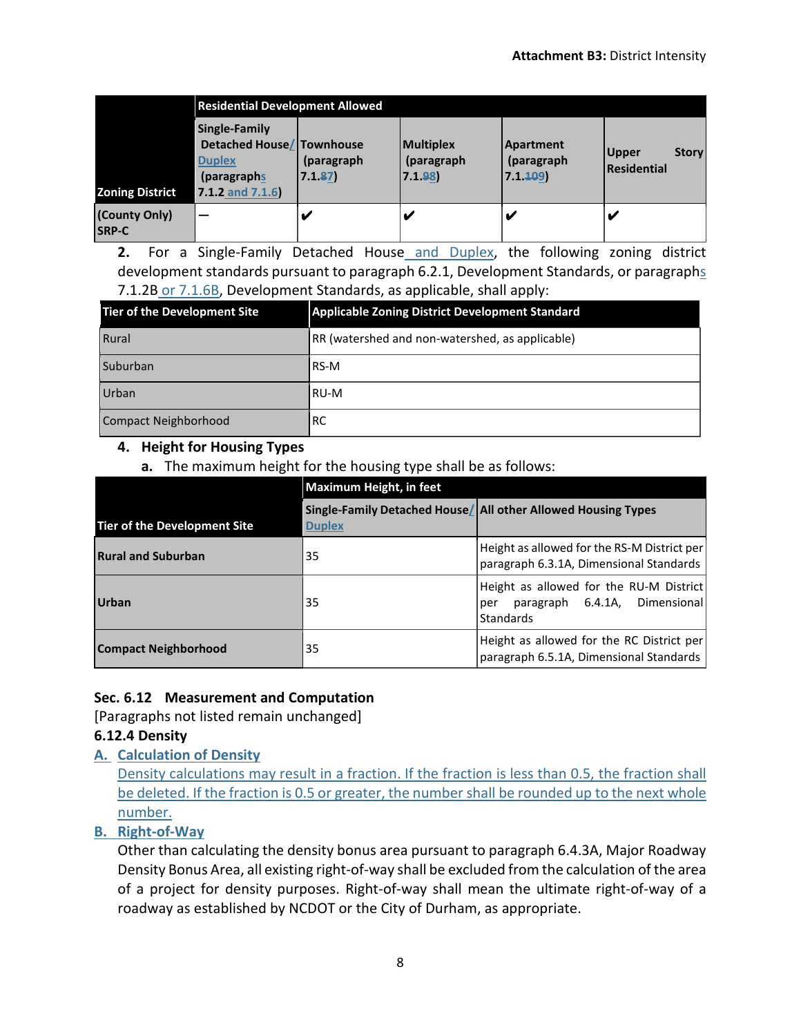|                               | <b>Residential Development Allowed</b>                                                             |                      |                                          |                                            |                                             |  |
|-------------------------------|----------------------------------------------------------------------------------------------------|----------------------|------------------------------------------|--------------------------------------------|---------------------------------------------|--|
| <b>Zoning District</b>        | Single-Family<br>Detached House/ Townhouse<br><b>Duplex</b><br>(paragraphs)<br>$7.1.2$ and $7.1.6$ | (paragraph<br>7.1.87 | <b>Multiplex</b><br>(paragraph<br>7.1.98 | <b>Apartment</b><br>(paragraph)<br>7.1.409 | <b>Story</b><br><b>Upper</b><br>Residential |  |
| (County Only)<br><b>SRP-C</b> |                                                                                                    |                      |                                          | V                                          |                                             |  |

**2.** For a Single-Family Detached House and Duplex, the following zoning district development standards pursuant to paragraph 6.2.1, Development Standards, or paragraphs 7.1.2B or 7.1.6B, Development Standards, as applicable, shall apply:

| <b>Tier of the Development Site</b> | <b>Applicable Zoning District Development Standard</b> |
|-------------------------------------|--------------------------------------------------------|
| Rural                               | RR (watershed and non-watershed, as applicable)        |
| Suburban                            | RS-M                                                   |
| Urban                               | RU-M                                                   |
| <b>Compact Neighborhood</b>         | RC                                                     |

## **4. Height for Housing Types**

**a.** The maximum height for the housing type shall be as follows:

|                                     | <b>Maximum Height, in feet</b> |                                                                                                     |  |  |  |
|-------------------------------------|--------------------------------|-----------------------------------------------------------------------------------------------------|--|--|--|
| <b>Tier of the Development Site</b> | <b>Duplex</b>                  | Single-Family Detached House/ All other Allowed Housing Types                                       |  |  |  |
| <b>Rural and Suburban</b>           | 35                             | Height as allowed for the RS-M District per<br>paragraph 6.3.1A, Dimensional Standards              |  |  |  |
| <b>Urban</b>                        | 35                             | Height as allowed for the RU-M District<br>paragraph 6.4.1A, Dimensional<br>per<br><b>Standards</b> |  |  |  |
| <b>Compact Neighborhood</b>         | 35                             | Height as allowed for the RC District per<br>paragraph 6.5.1A, Dimensional Standards                |  |  |  |

#### **Sec. 6.12 Measurement and Computation**

[Paragraphs not listed remain unchanged]

#### **6.12.4 Density**

**A. Calculation of Density**

Density calculations may result in a fraction. If the fraction is less than 0.5, the fraction shall be deleted. If the fraction is 0.5 or greater, the number shall be rounded up to the next whole number.

#### **B. Right-of-Way**

Other than calculating the density bonus area pursuant to paragraph 6.4.3A, Major Roadway Density Bonus Area, all existing right-of-way shall be excluded from the calculation of the area of a project for density purposes. Right-of-way shall mean the ultimate right-of-way of a roadway as established by NCDOT or the City of Durham, as appropriate.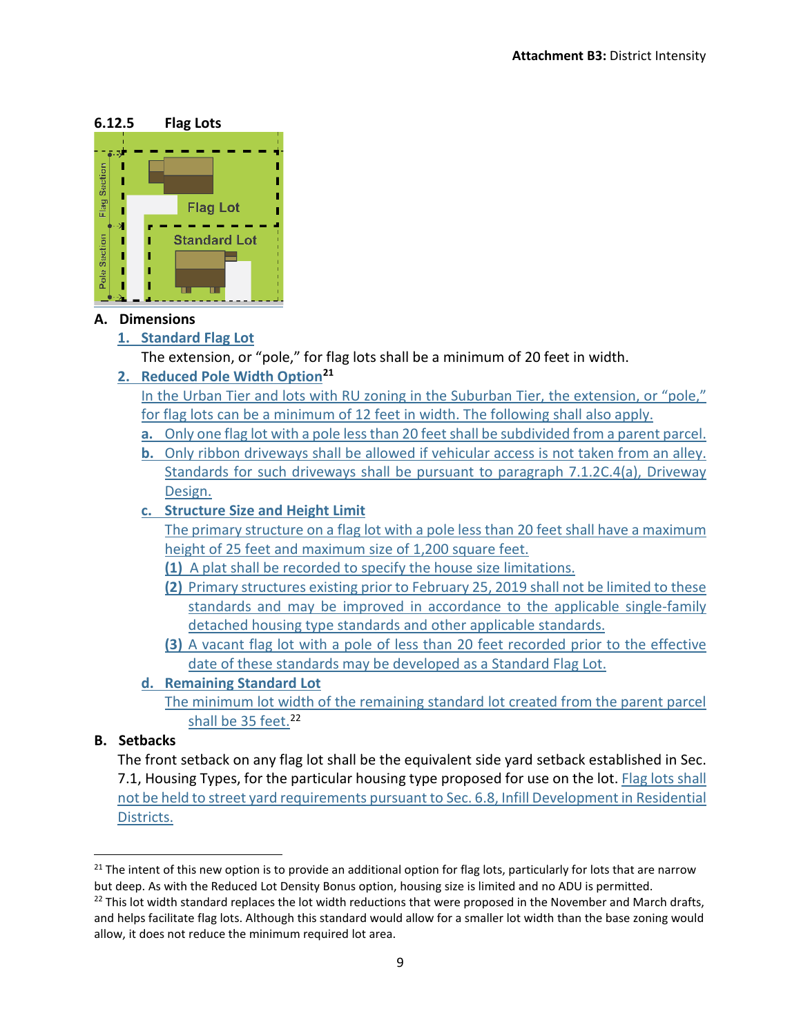

#### **A. Dimensions**

**1. Standard Flag Lot**

The extension, or "pole," for flag lots shall be a minimum of 20 feet in width.

**2. Reduced Pole Width Option[21](#page-8-0)**

In the Urban Tier and lots with RU zoning in the Suburban Tier, the extension, or "pole," for flag lots can be a minimum of 12 feet in width. The following shall also apply.

- **a.** Only one flag lot with a pole less than 20 feet shall be subdivided from a parent parcel.
- **b.** Only ribbon driveways shall be allowed if vehicular access is not taken from an alley. Standards for such driveways shall be pursuant to paragraph 7.1.2C.4(a), Driveway Design.
- **c. Structure Size and Height Limit**

The primary structure on a flag lot with a pole less than 20 feet shall have a maximum height of 25 feet and maximum size of 1,200 square feet.

- **(1)** A plat shall be recorded to specify the house size limitations.
- **(2)** Primary structures existing prior to February 25, 2019 shall not be limited to these standards and may be improved in accordance to the applicable single-family detached housing type standards and other applicable standards.
- **(3)** A vacant flag lot with a pole of less than 20 feet recorded prior to the effective date of these standards may be developed as a Standard Flag Lot.
- **d. Remaining Standard Lot**
	- The minimum lot width of the remaining standard lot created from the parent parcel shall be 35 feet.<sup>[22](#page-8-1)</sup>

#### **B. Setbacks**

The front setback on any flag lot shall be the equivalent side yard setback established in Sec. 7.1, Housing Types, for the particular housing type proposed for use on the lot. Flag lots shall not be held to street yard requirements pursuant to Sec. 6.8, Infill Development in Residential Districts.

<span id="page-8-0"></span><sup>&</sup>lt;sup>21</sup> The intent of this new option is to provide an additional option for flag lots, particularly for lots that are narrow but deep. As with the Reduced Lot Density Bonus option, housing size is limited and no ADU is permitted.

<span id="page-8-1"></span><sup>&</sup>lt;sup>22</sup> This lot width standard replaces the lot width reductions that were proposed in the November and March drafts, and helps facilitate flag lots. Although this standard would allow for a smaller lot width than the base zoning would allow, it does not reduce the minimum required lot area.